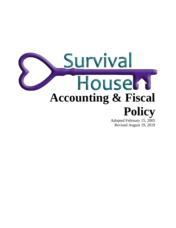

Revised August 19, 2019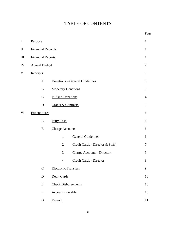# TABLE OF CONTENTS

|           |                           |                                                   | Page           |
|-----------|---------------------------|---------------------------------------------------|----------------|
| I         | Purpose                   |                                                   | $\mathbf{1}$   |
| $\rm{II}$ | <b>Financial Records</b>  |                                                   | $\mathbf{1}$   |
| Ш         | <b>Financial Reports</b>  |                                                   | $\mathbf{1}$   |
| IV        | <b>Annual Budget</b>      |                                                   | $\mathbf{2}$   |
| V         | Receipts                  |                                                   | 3              |
|           | $\mathbf{A}$              | <b>Donations - General Guidelines</b>             | 3              |
|           | B                         | <b>Monetary Donations</b>                         | 3              |
|           | $\mathsf{C}$              | In Kind Donations                                 | $\overline{4}$ |
|           | D                         | <b>Grants &amp; Contracts</b>                     | 5              |
| VI        | Expenditures              |                                                   | 6              |
|           | $\mathbf{A}$              | <b>Petty Cash</b>                                 | 6              |
|           | B                         | <b>Charge Accounts</b>                            | 6              |
|           |                           | <b>General Guidelines</b><br>$\mathbf{1}$         | 6              |
|           |                           | Credit Cards - Director & Staff<br>$\mathfrak{2}$ | $\tau$         |
|           |                           | 3<br><b>Charge Accounts - Director</b>            | 9              |
|           |                           | Credit Cards - Director<br>$\overline{4}$         | 9              |
|           | $\mathbf C$               | <b>Electronic Transfers</b>                       | 9              |
|           | $\mathbf D$               | Debit Cards                                       | 10             |
|           | ${\bf E}$                 | <b>Check Disbursements</b>                        | 10             |
|           | $\boldsymbol{\mathrm{F}}$ | <b>Accounts Payable</b>                           | 10             |
|           | ${\bf G}$                 | Payroll                                           | 11             |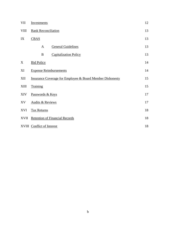| VII         | <b>Investments</b>                                                   |                               |    |
|-------------|----------------------------------------------------------------------|-------------------------------|----|
| <b>VIII</b> | <b>Bank Reconciliation</b>                                           |                               |    |
| IX          | <b>CBAS</b>                                                          |                               | 13 |
|             | A                                                                    | <b>General Guidelines</b>     | 13 |
|             | $\bf{B}$                                                             | <b>Capitalization Policy</b>  | 13 |
| X           | <b>Bid Policy</b>                                                    |                               | 14 |
| XI          |                                                                      | <b>Expense Reimbursements</b> | 14 |
| XII         | <b>Insurance Coverage for Employee &amp; Board Member Dishonesty</b> |                               |    |
| <b>XIII</b> | Training                                                             |                               | 15 |
| <b>XIV</b>  | Passwords & Keys                                                     |                               |    |
| XV          | <b>Audits &amp; Reviews</b>                                          |                               |    |
| XVI         | <b>Tax Returns</b>                                                   |                               |    |
| <b>XVII</b> | <b>Retention of Financial Records</b>                                |                               |    |
|             | XVIII Conflict of Interest                                           |                               |    |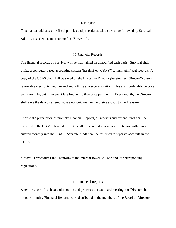#### I. Purpose

This manual addresses the fiscal policies and procedures which are to be followed by Survival Adult Abuse Center, Inc (hereinafter "Survival").

# II. Financial Records

The financial records of Survival will be maintained on a modified cash basis. Survival shall utilize a computer-based accounting system (hereinafter "CBAS") to maintain fiscal records. A copy of the CBAS data shall be saved by the Executive Director (hereinafter "Director") onto a removable electronic medium and kept offsite at a secure location. This shall preferably be done semi-monthly, but in no event less frequently than once per month. Every month, the Director shall save the data on a removable electronic medium and give a copy to the Treasurer.

Prior to the preparation of monthly Financial Reports, all receipts and expenditures shall be recorded in the CBAS. In-kind receipts shall be recorded in a separate database with totals entered monthly into the CBAS. Separate funds shall be reflected in separate accounts in the CBAS.

Survival's procedures shall conform to the Internal Revenue Code and its corresponding regulations.

#### III. Financial Reports

After the close of each calendar month and prior to the next board meeting, the Director shall prepare monthly Financial Reports, to be distributed to the members of the Board of Directors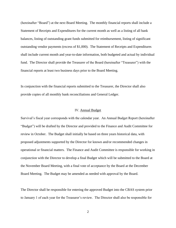(hereinafter "Board") at the next Board Meeting. The monthly financial reports shall include a Statement of Receipts and Expenditures for the current month as well as a listing of all bank balances, listing of outstanding grant funds submitted for reimbursement, listing of significant outstanding vendor payments (excess of \$1,000). The Statement of Receipts and Expenditures shall include current month and year-to-date information, both budgeted and actual by individual fund. The Director shall provide the Treasurer of the Board (hereinafter "Treasurer") with the financial reports at least two business days prior to the Board Meeting.

In conjunction with the financial reports submitted to the Treasurer, the Director shall also provide copies of all monthly bank reconciliations and General Ledger.

## IV. Annual Budget

Survival's fiscal year corresponds with the calendar year. An Annual Budget Report (hereinafter "Budget") will be drafted by the Director and provided to the Finance and Audit Committee for review in October. The Budget shall initially be based on three years historical data, with proposed adjustments supported by the Director for known and/or recommended changes in operational or financial matters. The Finance and Audit Committee is responsible for working in conjunction with the Director to develop a final Budget which will be submitted to the Board at the November Board Meeting, with a final vote of acceptance by the Board at the December Board Meeting. The Budget may be amended as needed with approval by the Board.

The Director shall be responsible for entering the approved Budget into the CBAS system prior to January 1 of each year for the Treasurer's review. The Director shall also be responsible for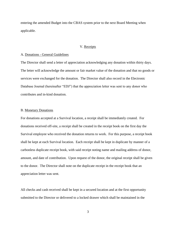entering the amended Budget into the CBAS system prior to the next Board Meeting when applicable.

## V. Receipts

## A. Donations - General Guidelines

The Director shall send a letter of appreciation acknowledging any donation within thirty days. The letter will acknowledge the amount or fair market value of the donation and that no goods or services were exchanged for the donation. The Director shall also record in the Electronic Database Journal (hereinafter "EDJ") that the appreciation letter was sent to any donor who contributes and in-kind donation.

### B. Monetary Donations

For donations accepted at a Survival location, a receipt shall be immediately created. For donations received off-site, a receipt shall be created in the receipt book on the first day the Survival employee who received the donation returns to work. For this purpose, a receipt book shall be kept at each Survival location. Each receipt shall be kept in duplicate by manner of a carbonless duplicate receipt book, with said receipt noting name and mailing address of donor, amount, and date of contribution. Upon request of the donor, the original receipt shall be given to the donor. The Director shall note on the duplicate receipt in the receipt book that an appreciation letter was sent.

All checks and cash received shall be kept in a secured location and at the first opportunity submitted to the Director or delivered to a locked drawer which shall be maintained in the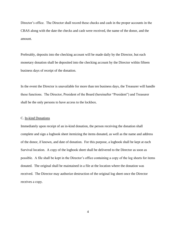Director's office. The Director shall record these checks and cash in the proper accounts in the CBAS along with the date the checks and cash were received, the name of the donor, and the amount.

Preferably, deposits into the checking account will be made daily by the Director, but each monetary donation shall be deposited into the checking account by the Director within fifteen business days of receipt of the donation.

In the event the Director is unavailable for more than ten business days, the Treasurer will handle these functions. The Director, President of the Board (hereinafter "President") and Treasurer shall be the only persons to have access to the lockbox.

## C. In-kind Donations

Immediately upon receipt of an in-kind donation, the person receiving the donation shall complete and sign a logbook sheet itemizing the items donated, as well as the name and address of the donor, if known, and date of donation. For this purpose, a logbook shall be kept at each Survival location. A copy of the logbook sheet shall be delivered to the Director as soon as possible. A file shall be kept in the Director's office containing a copy of the log sheets for items donated. The original shall be maintained in a file at the location where the donation was received. The Director may authorize destruction of the original log sheet once the Director receives a copy.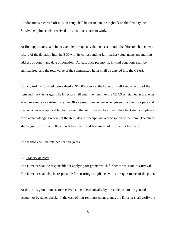For donations received off-site, an entry shall be created in the logbook on the first day the Survival employee who received the donation returns to work.

At first opportunity, and in no event less frequently than once a month, the Director shall enter a record of the donation into the EDJ with its corresponding fair market value, name and mailing address of donor, and date of donation. At least once per month, in-kind donations shall be summarized, and the total value of the summarized items shall be entered into the CBAS.

For any in-kind donated item valued at \$1,000 or more, the Director shall keep a record of the item and track its usage. The Director shall enter the item into the CBAS as retained as a Shelter asset, retained as an Administrative Office asset, or expensed when given to a client for personal use, whichever is applicable. In the event the item is given to a client, the client shall complete a form acknowledging receipt of the item, date of receipt, and a description of the item. The client shall sign this form with the client's first name and first initial of the client's last name.

The logbook will be retained for five years.

#### D. Grants/Contracts

The Director shall be responsible for applying for grants which further the mission of Survival. The Director shall also be responsible for ensuring compliance with all requirements of the grant.

At this time, grant monies are received either electronically by direct deposit to the general account or by paper check. In the case of non-reimbursement grants, the Director shall verify the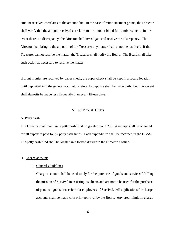amount received correlates to the amount due. In the case of reimbursement grants, the Director shall verify that the amount received correlates to the amount billed for reimbursement. In the event there is a discrepancy, the Director shall investigate and resolve the discrepancy. The Director shall bring to the attention of the Treasurer any matter that cannot be resolved. If the Treasurer cannot resolve the matter, the Treasurer shall notify the Board. The Board shall take such action as necessary to resolve the matter.

If grant monies are received by paper check, the paper check shall be kept in a secure location until deposited into the general account. Preferably deposits shall be made daily, but in no event shall deposits be made less frequently than every fifteen days

## VI. EXPENDITURES

## A. Petty Cash

The Director shall maintain a petty cash fund no greater than \$200. A receipt shall be obtained for all expenses paid for by petty cash funds. Each expenditure shall be recorded in the CBAS. The petty cash fund shall be located in a locked drawer in the Director's office.

#### B. Charge accounts

#### 1. General Guidelines

Charge accounts shall be used solely for the purchase of goods and services fulfilling the mission of Survival in assisting its clients and are not to be used for the purchase of personal goods or services for employees of Survival. All applications for charge accounts shall be made with prior approval by the Board. Any credit limit on charge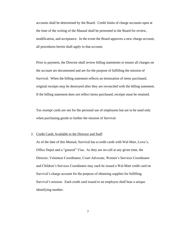accounts shall be determined by the Board. Credit limits of charge accounts open at the time of the writing of the Manual shall be presented to the Board for review, modification, and acceptance. In the event the Board approves a new charge account, all procedures herein shall apply to that account.

Prior to payment, the Director shall review billing statements to ensure all charges on the account are documented and are for the purpose of fulfilling the mission of Survival. When the billing statement reflects an itemization of items purchased, original receipts may be destroyed after they are reconciled with the billing statement. If the billing statement does not reflect items purchased, receipts must be retained.

Tax exempt cards are not for the personal use of employees but are to be used only when purchasing goods to further the mission of Survival.

#### 2. Credit Cards Available to the Director and Staff

As of the date of this Manual, Survival has a credit cards with Wal-Mart, Lowe's, Office Depot and a "general" Visa. As they are on-call at any given time, the Director, Volunteer Coordinator, Court Advocate, Women's Services Coordinator and Children's Services Coordinator may each be issued a Wal-Mart credit card on Survival's charge account for the purpose of obtaining supplies for fulfilling Survival's mission. Each credit card issued to an employee shall bear a unique identifying number.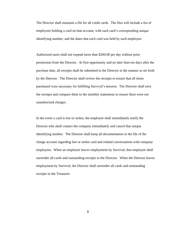The Director shall maintain a file for all credit cards. The files will include a list of employees holding a card on that account, with each card's corresponding unique identifying number, and the dates that each card was held by each employee.

Authorized users shall not expend more than \$200.00 per day without prior permission from the Director. At first opportunity and no later than ten days after the purchase date, all receipts shall be submitted to the Director in the manner as set forth by the Director. The Director shall review the receipts to ensure that all items purchased were necessary for fulfilling Survival's mission. The Director shall save the receipts and compare them to the monthly statements to ensure there were not unauthorized charges.

In the event a card is lost or stolen, the employee shall immediately notify the Director who shall contact the company immediately and cancel that unique identifying number. The Director shall keep all documentation in the file of the charge account regarding lost or stolen card and related conversations with company employees. When an employee leaves employment by Survival, that employee shall surrender all cards and outstanding receipts to the Director. When the Director leaves employment by Survival, the Director shall surrender all cards and outstanding receipts to the Treasurer.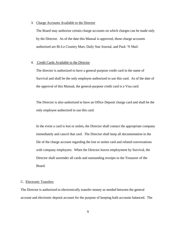### 3. Charge Accounts Available to the Director

The Board may authorize certain charge accounts on which charges can be made only by the Director. As of the date this Manual is approved, those charge accounts authorized are Bi-Lo Country Mart, Daily Star Journal, and Pack 'N Mail.

## 4. Credit Cards Available to the Director

The director is authorized to have a general-purpose credit card in the name of Survival and shall be the only employee authorized to use this card. As of the date of the approval of this Manual, the general-purpose credit card is a Visa card.

The Director is also authorized to have an Office Deposit charge card and shall be the only employee authorized to use this card.

In the event a card is lost or stolen, the Director shall contact the appropriate company immediately and cancel that card. The Director shall keep all documentation in the file of the charge account regarding the lost or stolen card and related conversations with company employees. When the Director leaves employment by Survival, the Director shall surrender all cards and outstanding receipts to the Treasurer of the Board.

### C. Electronic Transfers

The Director is authorized to electronically transfer money as needed between the general account and electronic deposit account for the purpose of keeping both accounts balanced. The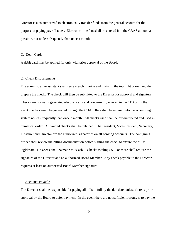Director is also authorized to electronically transfer funds from the general account for the purpose of paying payroll taxes. Electronic transfers shall be entered into the CBAS as soon as possible, but no less frequently than once a month.

## D. Debit Cards

A debit card may be applied for only with prior approval of the Board.

## E. Check Disbursements

The administrative assistant shall review each invoice and initial in the top right corner and then prepare the check. The check will then be submitted to the Director for approval and signature. Checks are normally generated electronically and concurrently entered in the CBAS. In the event checks cannot be generated through the CBAS, they shall be entered into the accounting system no less frequently than once a month. All checks used shall be pre-numbered and used in numerical order. All voided checks shall be retained. The President, Vice-President, Secretary, Treasurer and Director are the authorized signatories on all banking accounts. The co-signing officer shall review the billing documentation before signing the check to ensure the bill is legitimate. No check shall be made to "Cash". Checks totaling \$500 or more shall require the signature of the Director and an authorized Board Member. Any check payable to the Director requires at least on authorized Board Member signature.

### F. Accounts Payable

The Director shall be responsible for paying all bills in full by the due date, unless there is prior approval by the Board to defer payment. In the event there are not sufficient resources to pay the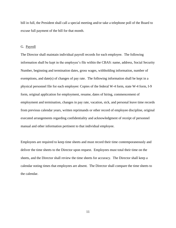bill in full, the President shall call a special meeting and/or take a telephone poll of the Board to excuse full payment of the bill for that month.

## G. Payroll

The Director shall maintain individual payroll records for each employee. The following information shall be kept in the employee's file within the CBAS: name, address, Social Security Number, beginning and termination dates, gross wages, withholding information, number of exemptions, and date(s) of changes of pay rate. The following information shall be kept in a physical personnel file for each employee: Copies of the federal W-4 form, state W-4 form, I-9 form, original application for employment, resume, dates of hiring, commencement of employment and termination, changes in pay rate, vacation, sick, and personal leave time records from previous calendar years, written reprimands or other record of employee discipline, original executed arrangements regarding confidentiality and acknowledgment of receipt of personnel manual and other information pertinent to that individual employee.

Employees are required to keep time sheets and must record their time contemporaneously and deliver the time sheets to the Director upon request. Employees must total their time on the sheets, and the Director shall review the time sheets for accuracy. The Director shall keep a calendar noting times that employees are absent. The Director shall compare the time sheets to the calendar.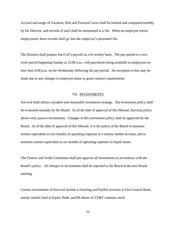Accrual and usage of Vacation, Sick and Personal Leave shall be tracked and computed monthly by the Director, and records of such shall be maintained in a file. When an employee leaves employment, these records shall go into the employee's personnel file.

The Director shall prepare Survival's payroll on a bi-weekly basis. The pay period is a twoweek period beginning Sunday at 12:00 a.m., with paychecks being available to employees no later than 4:00 p.m. on the Wednesday following the pay period. An exception to this may be made due to any changes in employee status or grant contract requirements.

### VII. INVESTMENTS

Survival shall utilize a prudent and reasonable investment strategy. The investment policy shall be evaluated annually by the Board. As of the date of approval of this Manual, Survival policy allows only passive investments. Changes in this investment policy shall be approved by the Board. As of the date of approval of this Manual, it is the policy of the Board to maintain monies equivalent to two months of operating expenses in a money market account, and to maintain monies equivalent to six months of operating expenses in liquid assets.

The Finance and Audit Committee shall pre-approve all investments in accordance with the Board's policy. All changes in investments shall be reported to the Board at the next Board meeting.

Current investments of Survival include a checking and PayPal accounts at First Central Bank, money market fund at Equity Bank, and 66 shares of AT&T common stock.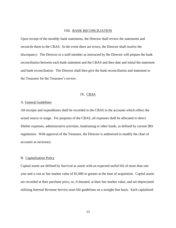## VIII. BANK RECONCILIATION

Upon receipt of the monthly bank statements, the Director shall review the statements and reconcile them to the CBAS. In the event there are errors, the Director shall resolve the discrepancy. The Director or a staff member as instructed by the Director will prepare the bank reconciliation between each bank statement and the CBAS and then date and initial the statement and bank reconciliation. The Director shall then give the bank reconciliation and statement to the Treasurer for the Treasurer's review.

# IX. CBAS

## A. General Guidelines

All receipts and expenditures shall be recorded in the CBAS in the accounts which reflect the actual source or usage. For purposes of the CBAS, all expenses shall be allocated to direct Shelter expenses, administrative activities, fundraising or other funds, as defined by current IRS regulations. With approval of the Treasurer, the Director is authorized to modify the chart of accounts as necessary.

#### B. Capitalization Policy

Capital assets are defined by Survival as assets with an expected useful life of more than one year and a cost or fair market value of \$1,000 or greater at the time of acquisition. Capital assets are recorded at their purchase price, or, if donated, at their fair market value, and are depreciated utilizing Internal Revenue Service asset life guidelines on a straight-line basis. Each capitalized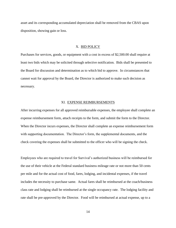asset and its corresponding accumulated depreciation shall be removed from the CBAS upon disposition, showing gain or loss.

## X. BID POLICY

Purchases for services, goods, or equipment with a cost in excess of \$2,500.00 shall require at least two bids which may be solicited through selective notification. Bids shall be presented to the Board for discussion and determination as to which bid to approve. In circumstances that cannot wait for approval by the Board, the Director is authorized to make such decision as necessary.

#### XI. EXPENSE REIMBURSEMENTS

After incurring expenses for all approved reimbursable expenses, the employee shall complete an expense reimbursement form, attach receipts to the form, and submit the form to the Director. When the Director incurs expenses, the Director shall complete an expense reimbursement form with supporting documentation. The Director's form, the supplemental documents, and the check covering the expenses shall be submitted to the officer who will be signing the check.

Employees who are required to travel for Survival's authorized business will be reimbursed for the use of their vehicle at the Federal standard business mileage rate or not more than 50 cents per mile and for the actual cost of food, fares, lodging, and incidental expenses, if the travel includes the necessity to purchase same. Actual fares shall be reimbursed at the coach/business class rate and lodging shall be reimbursed at the single occupancy rate. The lodging facility and rate shall be pre-approved by the Director. Food will be reimbursed at actual expense, up to a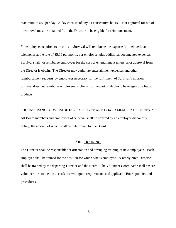maximum of \$50 per day. A day consists of any 24 consecutive hours. Prior approval for out of town travel must be obtained from the Director to be eligible for reimbursement.

For employees required to be on-call, Survival will reimburse the expense for their cellular telephones at the rate of \$5.00 per month, per employee, plus additional documented expenses. Survival shall not reimburse employees for the cost of entertainment unless prior approval from the Director is obtain. The Director may authorize entertainment expenses and other reimbursement requests by employees necessary for the fulfillment of Survival's mission. Survival does not reimburse employees or clients for the cost of alcoholic beverages or tobacco products.

## XII. INSURANCE COVERAGE FOR EMPLOYEE AND BOARD MEMBER DISHONESTY

All Board members and employees of Survival shall be covered by an employee dishonesty policy, the amount of which shall be determined by the Board.

#### XIII. TRAINING

The Director shall be responsible for orientation and arranging training of new employees. Each employee shall be trained for the position for which s/he is employed. A newly hired Director shall be trained by the departing Director and the Board. The Volunteer Coordinator shall ensure volunteers are trained in accordance with grant requirements and applicable Board policies and procedures.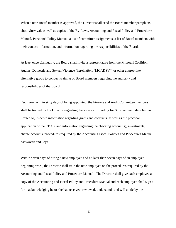When a new Board member is approved, the Director shall send the Board member pamphlets about Survival, as well as copies of the By-Laws, Accounting and Fiscal Policy and Procedures Manual, Personnel Policy Manual, a list of committee assignments, a list of Board members with their contact information, and information regarding the responsibilities of the Board.

At least once biannually, the Board shall invite a representative from the Missouri Coalition Against Domestic and Sexual Violence (hereinafter, "MCADSV") or other appropriate alternative group to conduct training of Board members regarding the authority and responsibilities of the Board.

Each year, within sixty days of being appointed, the Finance and Audit Committee members shall be trained by the Director regarding the sources of funding for Survival, including but not limited to, in-depth information regarding grants and contracts, as well as the practical application of the CBAS, and information regarding the checking account(s), investments, charge accounts, procedures required by the Accounting Fiscal Policies and Procedures Manual, passwords and keys.

Within seven days of hiring a new employee and no later than seven days of an employee beginning work, the Director shall train the new employee on the procedures required by the Accounting and Fiscal Policy and Procedure Manual. The Director shall give each employee a copy of the Accounting and Fiscal Policy and Procedure Manual and each employee shall sign a form acknowledging he or she has received, reviewed, understands and will abide by the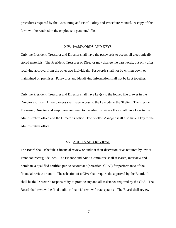procedures required by the Accounting and Fiscal Policy and Procedure Manual. A copy of this form will be retained in the employee's personnel file.

# XIV. PASSWORDS AND KEYS

Only the President, Treasurer and Director shall have the passwords to access all electronically stored materials. The President, Treasurer or Director may change the passwords, but only after receiving approval from the other two individuals. Passwords shall not be written down or maintained on premises. Passwords and identifying information shall not be kept together.

Only the President, Treasurer and Director shall have key(s) to the locked file drawer in the Director's office. All employees shall have access to the keycode to the Shelter. The President, Treasurer, Director and employees assigned to the administrative office shall have keys to the administrative office and the Director's office. The Shelter Manager shall also have a key to the administrative office.

#### XV. AUDITS AND REVIEWS

The Board shall schedule a financial review or audit at their discretion or as required by law or grant contracts/guidelines. The Finance and Audit Committee shall research, interview and nominate a qualified certified public accountant (hereafter "CPA") for performance of the financial review or audit. The selection of a CPA shall require the approval by the Board. It shall be the Director's responsibility to provide any and all assistance required by the CPA. The Board shall review the final audit or financial review for acceptance. The Board shall review